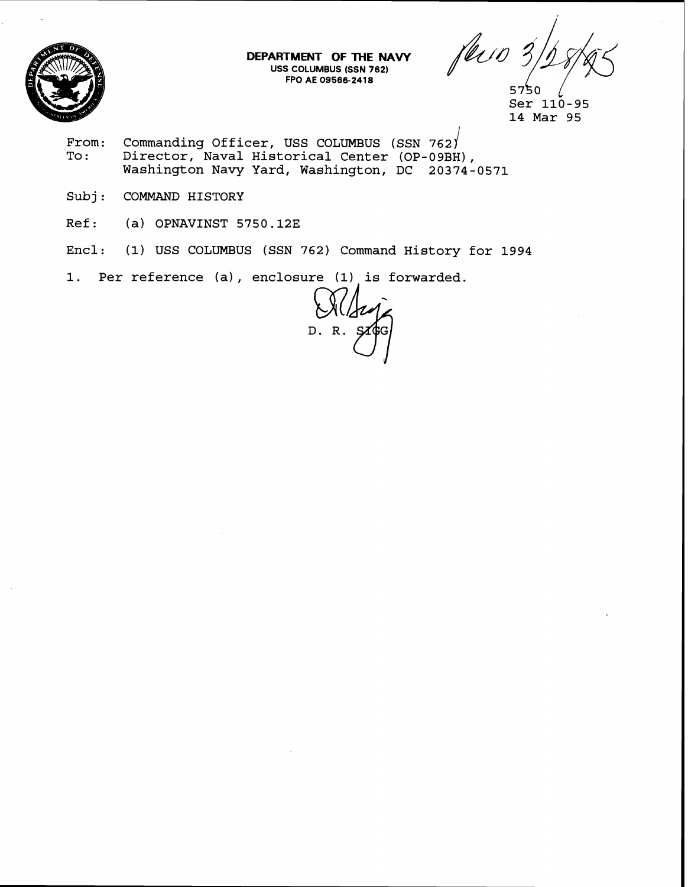

**DEPARTMENT OF THE NAVY USS COLUMBUS (SSN 762) FPO AE 095662418** 

feur 3

- **From: Commanding Officer, USS COLUMBUS (SSN 762 To** : **Director, Naval Historical Center (OP-09BH), Washington Navy Yard, Washington, DC 20374-0571**
- **Subj** : **COMMAND HISTORY**
- **Ref: (a) OPNAVINST 5750.123**
- **Encl: (1) USS COLUMBUS (SSN 762) Command History for 1994**
- **1. Per reference (a)** , **enclosure (1) is forwarded.**

D.R.

<sup>5750</sup> **Ser 110-95 14 Mar 95**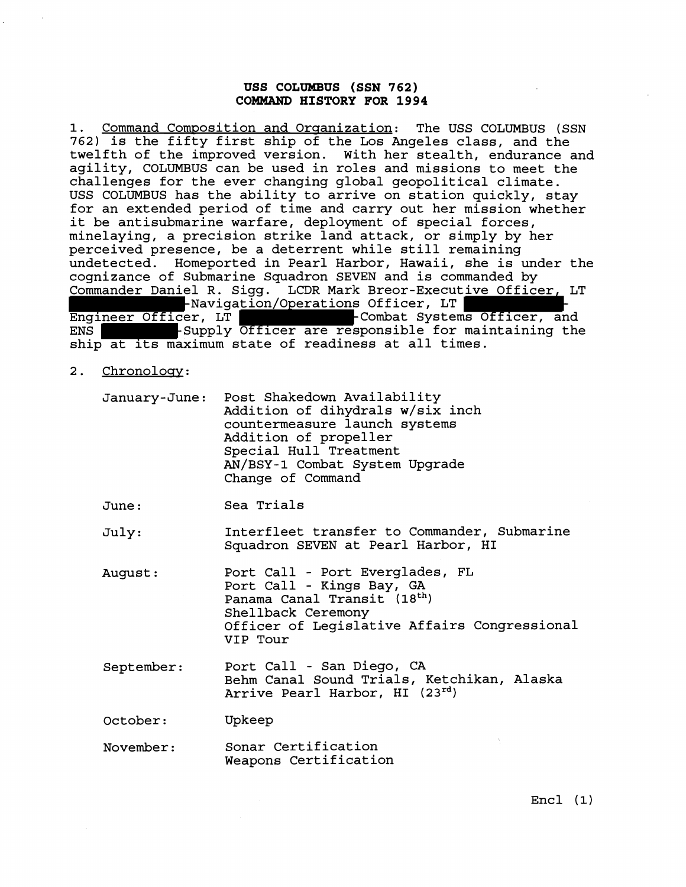## **USS COLUMBUS (SSN 762) COMMAND HISTORY FOR 1994**

1. Command Composition and Organization: The USS COLUMBUS (SSN **762)** is the fifty first ship of the Los Angeles class, and the twelfth of the improved version. With her stealth, endurance and agility, COLUMBUS can be used in roles and missions to meet the challenges for the ever changing global geopolitical climate. USS COLUMBUS has the ability to arrive on station quickly, stay for an extended period of time and carry out her mission whether it be antisubmarine warfare, deployment of special forces, minelaying, a precision strike land attack, or simply by her perceived presence, be a deterrent while still remaining undetected. Homeported in Pearl Harbor, Hawaii, she is under the cognizance of Submarine Squadron SEVEN and is commanded by Commander Daniel R. Sigg. LCDR Mark Breor-Executive Officer, LT Engineer Officer, LT **Theorem Combat Systems Officer, and**<br>ENS **ENGINEER - ENGINEER OF ENGINEER -**Combat Systems Officer, and EUR, --<br>Supply Officer are responsible for maintaining the ship at its maximum state of readiness at all times.

2. Chronology:

| January-June: Post Shakedown Availability<br>Addition of dihydrals w/six inch<br>countermeasure launch systems<br>Addition of propeller<br>Special Hull Treatment<br>AN/BSY-1 Combat System Upgrade |
|-----------------------------------------------------------------------------------------------------------------------------------------------------------------------------------------------------|
| Change of Command                                                                                                                                                                                   |

June : Sea Trials

July: Interfleet transfer to Commander, Submarine Squadron SEVEN at Pearl Harbor, HI

- August : Port Call - Port Everglades, FL Port Call - Kings Bay, GA Panama Canal Transit (18<sup>th</sup>) Shellback Ceremony Officer of Legislative Affairs Congressional VIP Tour
- September: Port Call San Diego, CA Behm Canal Sound Trials, Ketchikan, Alaska Arrive Pearl Harbor, HI **(23rd)**

October: Upkeep

November: Sonar Certification Weapons Certification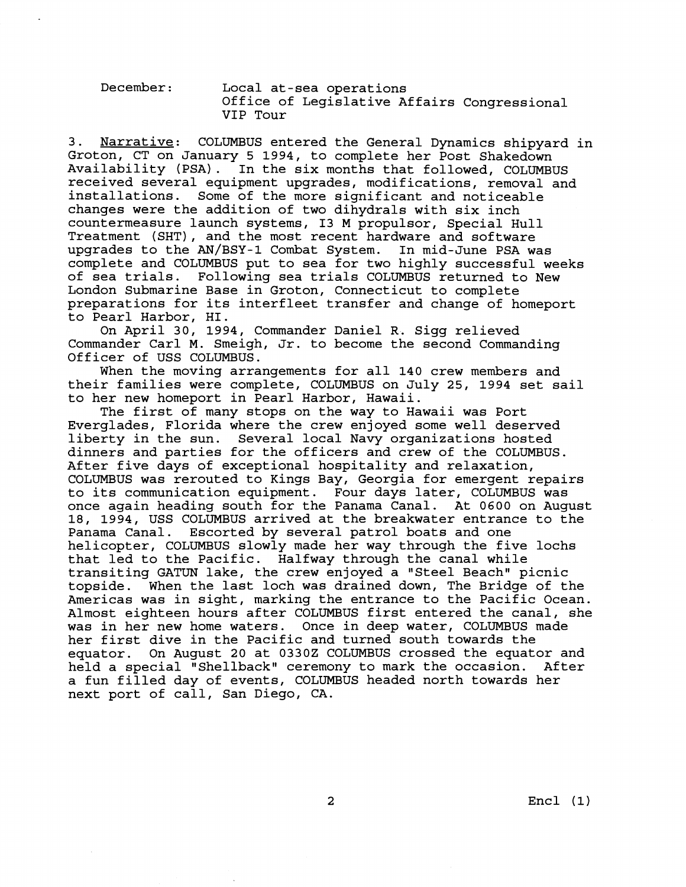| December: | Local at-sea operations<br>Office of Legislative Affairs Congressional<br>VIP TOUT |
|-----------|------------------------------------------------------------------------------------|
|           |                                                                                    |

3. Narrative: COLUMBUS entered the General Dynamics shipyard in Groton, CT on January 5 1994, to complete her Post Shakedown Availability (PSA) . In the six months that followed, COLUMBUS received several equipment upgrades, modifications, removal and installations. Some of the more significant and noticeable changes were the addition of two dihydrals with six inch countermeasure launch systems, I3 M propulsor, Special Hull Treatment (SHT), and the most recent hardware and software upgrades to the AN/BSY-1 Combat System. In mid-June PSA was complete and COLUMBUS put to sea for two highly successful weeks of sea trials. Following sea trials COLUMBUS returned to New London Submarine Base in Groton, Connecticut to complete preparations for its interfleet transfer and change of homeport to Pearl Harbor, HI.

On April 30, 1994, Commander Daniel R. Sigg relieved Commander Carl M. Smeigh, Jr. to become the second Commanding Officer of USS COLUMBUS.

When the moving arrangements for all 140 crew members and their families were complete, COLUMBUS on July 25, 1994 set sail to her new homeport in Pearl Harbor, Hawaii.

The first of many stops on the way to Hawaii was Port Everglades, Florida where the crew enjoyed some well deserved liberty in the sun. Several local Navy organizations hosted dinners and parties for the officers and crew of the COLUMBUS. After five days of exceptional hospitality and relaxation, COLUMBUS was rerouted to Kings Bay, Georgia for emergent repairs to its communication equipment. Four days later, COLUMBUS was once again heading south for the Panama Canal. At 0600 on August 18, 1994, USS COLUMBUS arrived at the breakwater entrance to the Escorted by several patrol boats and one helicopter, COLUMBUS slowly made her way through the five lochs that led to the Pacific. Halfway through the canal while transiting GATUN lake, the crew enjoyed a "Steel Beach" picnic<br>topside. When the last loch was drained down, The Bridge of the When the last loch was drained down, The Bridge of the Americas was in sight, marking the entrance to the Pacific Ocean. Almost eighteen hours after COLUMBUS first entered the canal, she was in her new home waters. Once in deep water, COLUMBUS made her first dive in the Pacific and turned south towards the equator. On August 20 at 03302 COLUMBUS crossed the equator and held a special "Shellback" ceremony to mark the occasion. After a fun filled day of events, COLUMBUS headed north towards her next port of call, San Diego, CA.